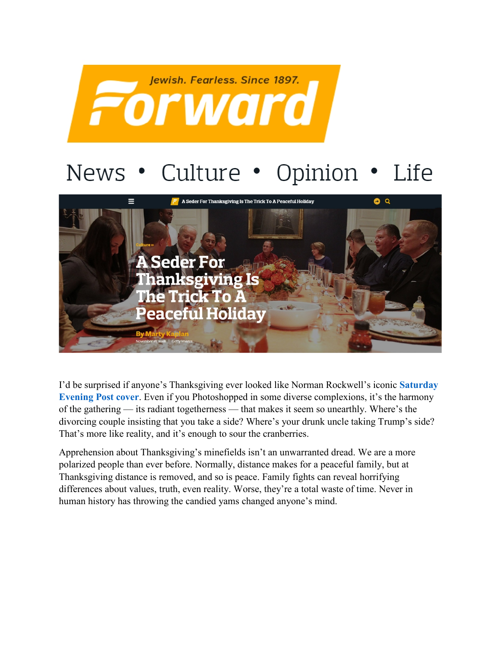

## News • Culture • Opinion • Life



I'd be surprised if anyone's Thanksgiving ever looked like Norman Rockwell's iconic **[Saturday](http://www.dailyartmagazine.com/norman-rockwell-thanksgiving-art/)  [Evening Post cover](http://www.dailyartmagazine.com/norman-rockwell-thanksgiving-art/).** Even if you Photoshopped in some diverse complexions, it's the harmony of the gathering — its radiant togetherness — that makes it seem so unearthly. Where's the divorcing couple insisting that you take a side? Where's your drunk uncle taking Trump's side? That's more like reality, and it's enough to sour the cranberries.

Apprehension about Thanksgiving's minefields isn't an unwarranted dread. We are a more polarized people than ever before. Normally, distance makes for a peaceful family, but at Thanksgiving distance is removed, and so is peace. Family fights can reveal horrifying differences about values, truth, even reality. Worse, they're a total waste of time. Never in human history has throwing the candied yams changed anyone's mind.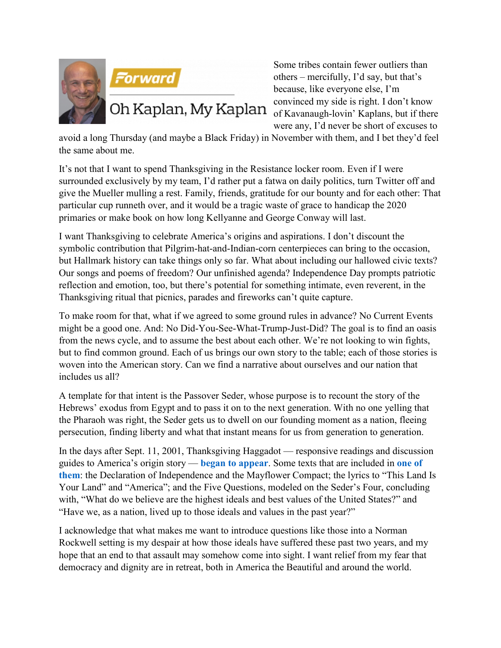



Some tribes contain fewer outliers than others – mercifully, I'd say, but that's because, like everyone else, I'm convinced my side is right. I don't know Oh Kaplan, My Kaplan of Kavanaugh-lovin' Kaplans, but if there were any, I'd never be short of excuses to

avoid a long Thursday (and maybe a Black Friday) in November with them, and I bet they'd feel the same about me.

It's not that I want to spend Thanksgiving in the Resistance locker room. Even if I were surrounded exclusively by my team, I'd rather put a fatwa on daily politics, turn Twitter off and give the Mueller mulling a rest. Family, friends, gratitude for our bounty and for each other: That particular cup runneth over, and it would be a tragic waste of grace to handicap the 2020 primaries or make book on how long Kellyanne and George Conway will last.

I want Thanksgiving to celebrate America's origins and aspirations. I don't discount the symbolic contribution that Pilgrim-hat-and-Indian-corn centerpieces can bring to the occasion, but Hallmark history can take things only so far. What about including our hallowed civic texts? Our songs and poems of freedom? Our unfinished agenda? Independence Day prompts patriotic reflection and emotion, too, but there's potential for something intimate, even reverent, in the Thanksgiving ritual that picnics, parades and fireworks can't quite capture.

To make room for that, what if we agreed to some ground rules in advance? No Current Events might be a good one. And: No Did-You-See-What-Trump-Just-Did? The goal is to find an oasis from the news cycle, and to assume the best about each other. We're not looking to win fights, but to find common ground. Each of us brings our own story to the table; each of those stories is woven into the American story. Can we find a narrative about ourselves and our nation that includes us all?

A template for that intent is the Passover Seder, whose purpose is to recount the story of the Hebrews' exodus from Egypt and to pass it on to the next generation. With no one yelling that the Pharaoh was right, the Seder gets us to dwell on our founding moment as a nation, fleeing persecution, finding liberty and what that instant means for us from generation to generation.

In the days after Sept. 11, 2001, Thanksgiving Haggadot — responsive readings and discussion guides to America's origin story — **[began to appear](https://www.freedomsfeast.us/events)**. Some texts that are included in **[one of](http://www.reformjudaism.org/sites/default/files/TDay%20Seder.pdf)  [them](http://www.reformjudaism.org/sites/default/files/TDay%20Seder.pdf)**: the Declaration of Independence and the Mayflower Compact; the lyrics to "This Land Is Your Land" and "America"; and the Five Questions, modeled on the Seder's Four, concluding with, "What do we believe are the highest ideals and best values of the United States?" and "Have we, as a nation, lived up to those ideals and values in the past year?"

I acknowledge that what makes me want to introduce questions like those into a Norman Rockwell setting is my despair at how those ideals have suffered these past two years, and my hope that an end to that assault may somehow come into sight. I want relief from my fear that democracy and dignity are in retreat, both in America the Beautiful and around the world.